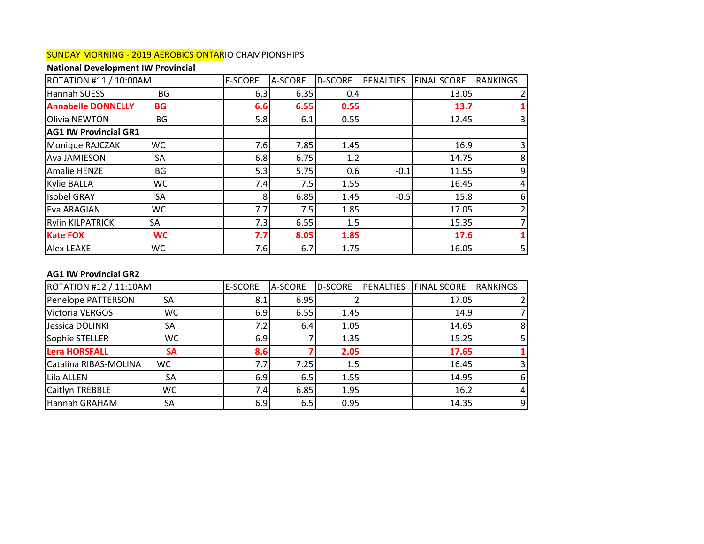# SUNDAY MORNING - 2019 AEROBICS ONTARIO CHAMPIONSHIPS

# **National Development IW Provincial**

| ROTATION #11 / 10:00AM       |           | <b>E-SCORE</b> | A-SCORE | <b>D-SCORE</b> | PENALTIES | <b>FINAL SCORE</b> | <b>RANKINGS</b> |
|------------------------------|-----------|----------------|---------|----------------|-----------|--------------------|-----------------|
| Hannah SUESS                 | BG        | 6.3            | 6.35    | 0.4            |           | 13.05              |                 |
| <b>Annabelle DONNELLY</b>    | <b>BG</b> | 6.6            | 6.55    | 0.55           |           | 13.7               |                 |
| Olivia NEWTON                | BG        | 5.8            | 6.1     | 0.55           |           | 12.45              |                 |
| <b>AG1 IW Provincial GR1</b> |           |                |         |                |           |                    |                 |
| Monique RAJCZAK              | WC.       | 7.6            | 7.85    | 1.45           |           | 16.9               |                 |
| <b>Ava JAMIESON</b>          | SA        | 6.8            | 6.75    | 1.2            |           | 14.75              | 8               |
| Amalie HENZE                 | BG        | 5.3            | 5.75    | 0.6            | $-0.1$    | 11.55              | 9               |
| <b>Kylie BALLA</b>           | WC.       | 7.4            | 7.5     | 1.55           |           | 16.45              |                 |
| <b>Isobel GRAY</b>           | SA        | 8              | 6.85    | 1.45           | $-0.5$    | 15.8               | 6               |
| <b>Eva ARAGIAN</b>           | WC        | 7.7            | 7.5     | 1.85           |           | 17.05              |                 |
| <b>Rylin KILPATRICK</b>      | SA        | 7.3            | 6.55    | 1.5            |           | 15.35              |                 |
| <b>Kate FOX</b>              | <b>WC</b> | 7.7            | 8.05    | 1.85           |           | 17.6               |                 |
| <b>Alex LEAKE</b>            | WC.       | 7.6            | 6.7     | 1.75           |           | 16.05              |                 |

## **AG1 IW Provincial GR2**

| ROTATION #12 / 11:10AM |           | <b>E-SCORE</b> | A-SCORE | <b>D-SCORE</b> | PENALTIES | <b>FINAL SCORE</b> | <b>RANKINGS</b> |
|------------------------|-----------|----------------|---------|----------------|-----------|--------------------|-----------------|
| Penelope PATTERSON     | SA        | 8.1            | 6.95    |                |           | 17.05              |                 |
| Victoria VERGOS        | <b>WC</b> | 6.9            | 6.55    | 1.45           |           | 14.9               |                 |
| Jessica DOLINKI        | SA        | 7.2I           | 6.4     | 1.05           |           | 14.65              | 8 <sup>1</sup>  |
| Sophie STELLER         | WC.       | 6.9            |         | 1.35           |           | 15.25              | 5 <sub>l</sub>  |
| <b>Lera HORSFALL</b>   | <b>SA</b> | 8.6            |         | 2.05           |           | 17.65              |                 |
| Catalina RIBAS-MOLINA  | WC        | 7.7            | 7.25    | 1.5            |           | 16.45              | 31              |
| Lila ALLEN             | SA        | 6.9            | 6.5     | 1.55           |           | 14.95              | 6               |
| Caitlyn TREBBLE        | <b>WC</b> | 7.4I           | 6.85    | 1.95           |           | 16.2               | $\overline{4}$  |
| Hannah GRAHAM          | SА        | 6.9            | 6.5     | 0.95           |           | 14.35              | 9               |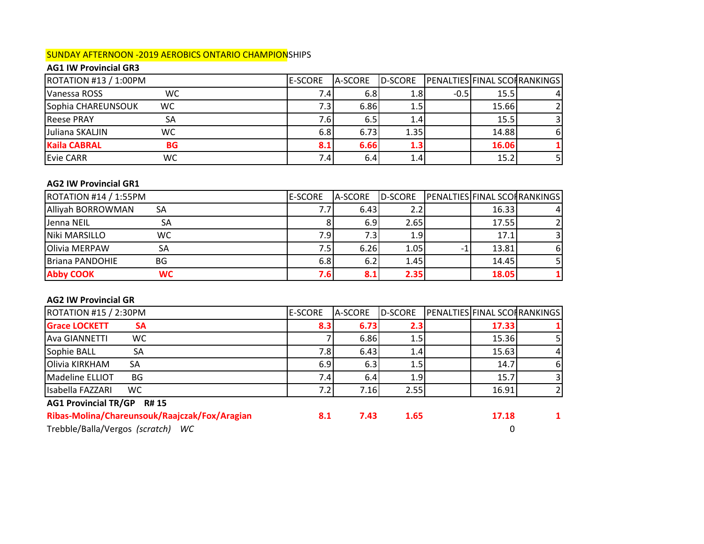## SUNDAY AFTERNOON -2019 AEROBICS ONTARIO CHAMPIONSHIPS

# **AG1 IW Provincial GR3**

| ROTATION #13 / 1:00PM |           | <b>E-SCORE</b> | A-SCORE | D-SCORE |        |       | <b>PENALTIES FINAL SCOFRANKINGS</b> |
|-----------------------|-----------|----------------|---------|---------|--------|-------|-------------------------------------|
| <b>Vanessa ROSS</b>   | WC        | 7.4            | 6.8     | 1.8I    | $-0.5$ | 15.5  |                                     |
| Sophia CHAREUNSOUK    | WC.       | 7.3I           | 6.86    | 1.5     |        | 15.66 |                                     |
| <b>Reese PRAY</b>     | SA        | 7.6I           | 6.5     | 1.4     |        | 15.5  |                                     |
| Juliana SKALJIN       | WC        | 6.8            | 6.73    | 1.35    |        | 14.88 | 61                                  |
| <b>Kaila CABRAL</b>   | <b>BG</b> | 8.1            | 6.66    | 1.3     |        | 16.06 |                                     |
| <b>Evie CARR</b>      | wc        | 7.4I           | 6.4     | 1.4     |        | 15.2  |                                     |

## **AG2 IW Provincial GR1**

| ROTATION #14 / 1:55PM          | <b>IE-SCORE</b> | A-SCORE | D-SCORE          | <b>PENALTIES FINAL SCOFRANKINGS</b> |    |
|--------------------------------|-----------------|---------|------------------|-------------------------------------|----|
| <b>Alliyah BORROWMAN</b><br>SA | 7.7             | 6.43    |                  | 16.33                               |    |
| Jenna NEIL<br>SA               |                 | 6.9     | 2.65             | 17.55                               |    |
| Niki MARSILLO<br>WC            | 7.9             | 7.3I    | 1.9 <sub>l</sub> | 17.1                                | 31 |
| <b>Olivia MERPAW</b><br>SΑ     | 7.5             | 6.26    | 1.05             | 13.81                               | 61 |
| <b>Briana PANDOHIE</b><br>BG   | 6.8             | 6.2     | 1.45             | 14.45                               |    |
| <b>Abby COOK</b><br>WC.        | 7.6I            | 8.1     | 2.35             | 18.05                               |    |

## **AG2 IW Provincial GR**

| <b>ROTATION #15 / 2:30PM</b>                | <b>E-SCORE</b> | <b>A-SCORE</b> | D-SCORE          | <b>PENALTIES FINAL SCOFRANKINGS</b> |                |
|---------------------------------------------|----------------|----------------|------------------|-------------------------------------|----------------|
| <b>Grace LOCKETT</b><br><b>SA</b>           | 8.3            | 6.73           | 2.3 <sub>1</sub> | 17.33                               |                |
| WC.<br><b>Ava GIANNETTI</b>                 |                | 6.86           | $1.5\,$          | 15.36                               |                |
| Sophie BALL<br>SA                           | 7.8I           | 6.43           | 1.41             | 15.63                               | $\overline{4}$ |
| Olivia KIRKHAM<br>SA                        | 6.9            | 6.3            | $1.5\,$          | 14.7                                | 6              |
| Madeline ELLIOT<br>BG                       | 7.4            | 6.4            | 1.9              | 15.7                                | $\overline{3}$ |
| Isabella FAZZARI<br><b>WC</b>               | 7.2            | 7.16           | 2.55             | 16.91                               | $\overline{2}$ |
| <b>AG1 Provincial TR/GP</b><br><b>R# 15</b> |                |                |                  |                                     |                |
|                                             |                |                |                  |                                     |                |

**Ribas-Molina/Chareunsouk/Raajczak/Fox/Aragian 8.1 7.43 1.65 17.18 1**

Trebble/Balla/Vergos *(scratch) WC* 0